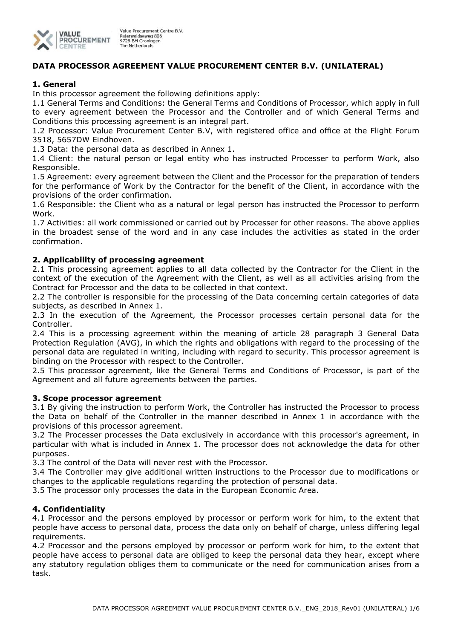

# **DATA PROCESSOR AGREEMENT VALUE PROCUREMENT CENTER B.V. (UNILATERAL)**

## **1. General**

In this processor agreement the following definitions apply:

1.1 General Terms and Conditions: the General Terms and Conditions of Processor, which apply in full to every agreement between the Processor and the Controller and of which General Terms and Conditions this processing agreement is an integral part.

1.2 Processor: Value Procurement Center B.V, with registered office and office at the Flight Forum 3518, 5657DW Eindhoven.

1.3 Data: the personal data as described in Annex 1.

1.4 Client: the natural person or legal entity who has instructed Processer to perform Work, also Responsible.

1.5 Agreement: every agreement between the Client and the Processor for the preparation of tenders for the performance of Work by the Contractor for the benefit of the Client, in accordance with the provisions of the order confirmation.

1.6 Responsible: the Client who as a natural or legal person has instructed the Processor to perform Work.

1.7 Activities: all work commissioned or carried out by Processer for other reasons. The above applies in the broadest sense of the word and in any case includes the activities as stated in the order confirmation.

### **2. Applicability of processing agreement**

2.1 This processing agreement applies to all data collected by the Contractor for the Client in the context of the execution of the Agreement with the Client, as well as all activities arising from the Contract for Processor and the data to be collected in that context.

2.2 The controller is responsible for the processing of the Data concerning certain categories of data subjects, as described in Annex 1.

2.3 In the execution of the Agreement, the Processor processes certain personal data for the Controller.

2.4 This is a processing agreement within the meaning of article 28 paragraph 3 General Data Protection Regulation (AVG), in which the rights and obligations with regard to the processing of the personal data are regulated in writing, including with regard to security. This processor agreement is binding on the Processor with respect to the Controller.

2.5 This processor agreement, like the General Terms and Conditions of Processor, is part of the Agreement and all future agreements between the parties.

### **3. Scope processor agreement**

3.1 By giving the instruction to perform Work, the Controller has instructed the Processor to process the Data on behalf of the Controller in the manner described in Annex 1 in accordance with the provisions of this processor agreement.

3.2 The Processer processes the Data exclusively in accordance with this processor's agreement, in particular with what is included in Annex 1. The processor does not acknowledge the data for other purposes.

3.3 The control of the Data will never rest with the Processor.

3.4 The Controller may give additional written instructions to the Processor due to modifications or changes to the applicable regulations regarding the protection of personal data.

3.5 The processor only processes the data in the European Economic Area.

### **4. Confidentiality**

4.1 Processor and the persons employed by processor or perform work for him, to the extent that people have access to personal data, process the data only on behalf of charge, unless differing legal requirements.

4.2 Processor and the persons employed by processor or perform work for him, to the extent that people have access to personal data are obliged to keep the personal data they hear, except where any statutory regulation obliges them to communicate or the need for communication arises from a task.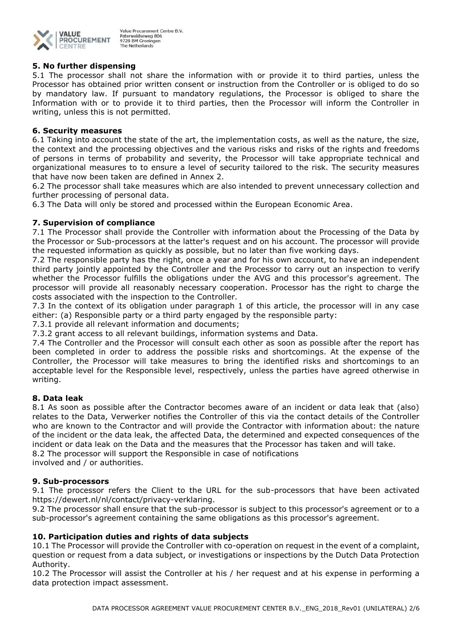

## **5. No further dispensing**

5.1 The processor shall not share the information with or provide it to third parties, unless the Processor has obtained prior written consent or instruction from the Controller or is obliged to do so by mandatory law. If pursuant to mandatory regulations, the Processor is obliged to share the Information with or to provide it to third parties, then the Processor will inform the Controller in writing, unless this is not permitted.

## **6. Security measures**

6.1 Taking into account the state of the art, the implementation costs, as well as the nature, the size, the context and the processing objectives and the various risks and risks of the rights and freedoms of persons in terms of probability and severity, the Processor will take appropriate technical and organizational measures to to ensure a level of security tailored to the risk. The security measures that have now been taken are defined in Annex 2.

6.2 The processor shall take measures which are also intended to prevent unnecessary collection and further processing of personal data.

6.3 The Data will only be stored and processed within the European Economic Area.

# **7. Supervision of compliance**

7.1 The Processor shall provide the Controller with information about the Processing of the Data by the Processor or Sub-processors at the latter's request and on his account. The processor will provide the requested information as quickly as possible, but no later than five working days.

7.2 The responsible party has the right, once a year and for his own account, to have an independent third party jointly appointed by the Controller and the Processor to carry out an inspection to verify whether the Processor fulfills the obligations under the AVG and this processor's agreement. The processor will provide all reasonably necessary cooperation. Processor has the right to charge the costs associated with the inspection to the Controller.

7.3 In the context of its obligation under paragraph 1 of this article, the processor will in any case either: (a) Responsible party or a third party engaged by the responsible party:

7.3.1 provide all relevant information and documents;

7.3.2 grant access to all relevant buildings, information systems and Data.

7.4 The Controller and the Processor will consult each other as soon as possible after the report has been completed in order to address the possible risks and shortcomings. At the expense of the Controller, the Processor will take measures to bring the identified risks and shortcomings to an acceptable level for the Responsible level, respectively, unless the parties have agreed otherwise in writing.

### **8. Data leak**

8.1 As soon as possible after the Contractor becomes aware of an incident or data leak that (also) relates to the Data, Verwerker notifies the Controller of this via the contact details of the Controller who are known to the Contractor and will provide the Contractor with information about: the nature of the incident or the data leak, the affected Data, the determined and expected consequences of the incident or data leak on the Data and the measures that the Processor has taken and will take. 8.2 The processor will support the Responsible in case of notifications involved and / or authorities.

### **9. Sub-processors**

9.1 The processor refers the Client to the URL for the sub-processors that have been activated https://dewert.nl/nl/contact/privacy-verklaring.

9.2 The processor shall ensure that the sub-processor is subject to this processor's agreement or to a sub-processor's agreement containing the same obligations as this processor's agreement.

### **10. Participation duties and rights of data subjects**

10.1 The Processor will provide the Controller with co-operation on request in the event of a complaint, question or request from a data subject, or investigations or inspections by the Dutch Data Protection Authority.

10.2 The Processor will assist the Controller at his / her request and at his expense in performing a data protection impact assessment.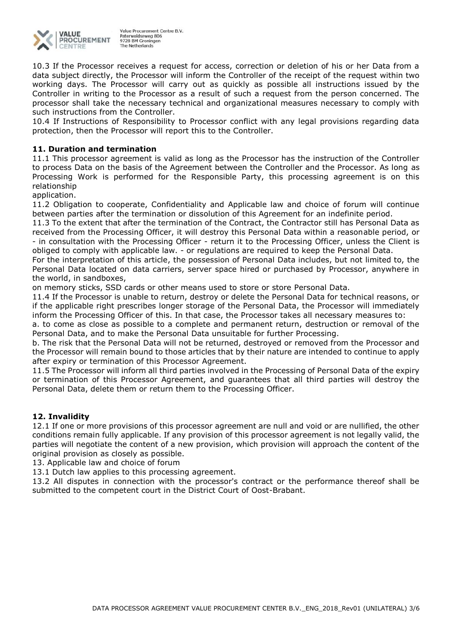

10.3 If the Processor receives a request for access, correction or deletion of his or her Data from a data subject directly, the Processor will inform the Controller of the receipt of the request within two working days. The Processor will carry out as quickly as possible all instructions issued by the Controller in writing to the Processor as a result of such a request from the person concerned. The processor shall take the necessary technical and organizational measures necessary to comply with such instructions from the Controller.

10.4 If Instructions of Responsibility to Processor conflict with any legal provisions regarding data protection, then the Processor will report this to the Controller.

## **11. Duration and termination**

11.1 This processor agreement is valid as long as the Processor has the instruction of the Controller to process Data on the basis of the Agreement between the Controller and the Processor. As long as Processing Work is performed for the Responsible Party, this processing agreement is on this relationship

application.

11.2 Obligation to cooperate, Confidentiality and Applicable law and choice of forum will continue between parties after the termination or dissolution of this Agreement for an indefinite period.

11.3 To the extent that after the termination of the Contract, the Contractor still has Personal Data as received from the Processing Officer, it will destroy this Personal Data within a reasonable period, or - in consultation with the Processing Officer - return it to the Processing Officer, unless the Client is obliged to comply with applicable law. - or regulations are required to keep the Personal Data.

For the interpretation of this article, the possession of Personal Data includes, but not limited to, the Personal Data located on data carriers, server space hired or purchased by Processor, anywhere in the world, in sandboxes,

on memory sticks, SSD cards or other means used to store or store Personal Data.

11.4 If the Processor is unable to return, destroy or delete the Personal Data for technical reasons, or if the applicable right prescribes longer storage of the Personal Data, the Processor will immediately inform the Processing Officer of this. In that case, the Processor takes all necessary measures to:

a. to come as close as possible to a complete and permanent return, destruction or removal of the Personal Data, and to make the Personal Data unsuitable for further Processing.

b. The risk that the Personal Data will not be returned, destroyed or removed from the Processor and the Processor will remain bound to those articles that by their nature are intended to continue to apply after expiry or termination of this Processor Agreement.

11.5 The Processor will inform all third parties involved in the Processing of Personal Data of the expiry or termination of this Processor Agreement, and guarantees that all third parties will destroy the Personal Data, delete them or return them to the Processing Officer.

### **12. Invalidity**

12.1 If one or more provisions of this processor agreement are null and void or are nullified, the other conditions remain fully applicable. If any provision of this processor agreement is not legally valid, the parties will negotiate the content of a new provision, which provision will approach the content of the original provision as closely as possible.

13. Applicable law and choice of forum

13.1 Dutch law applies to this processing agreement.

13.2 All disputes in connection with the processor's contract or the performance thereof shall be submitted to the competent court in the District Court of Oost-Brabant.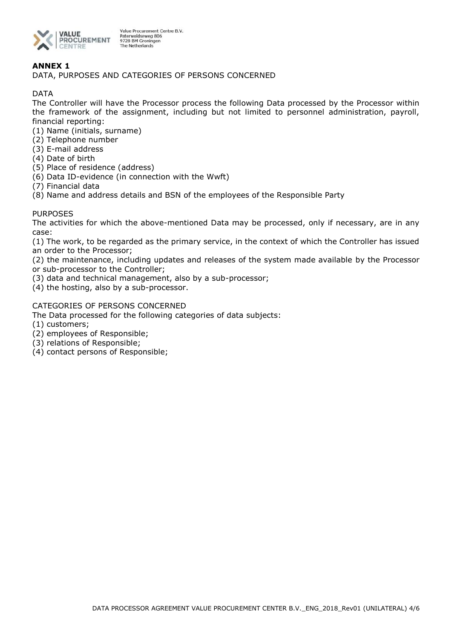

# **ANNEX 1**

DATA, PURPOSES AND CATEGORIES OF PERSONS CONCERNED

DATA

The Controller will have the Processor process the following Data processed by the Processor within the framework of the assignment, including but not limited to personnel administration, payroll, financial reporting:

- (1) Name (initials, surname)
- (2) Telephone number
- (3) E-mail address
- (4) Date of birth
- (5) Place of residence (address)
- (6) Data ID-evidence (in connection with the Wwft)
- (7) Financial data
- (8) Name and address details and BSN of the employees of the Responsible Party

### **PURPOSES**

The activities for which the above-mentioned Data may be processed, only if necessary, are in any case:

(1) The work, to be regarded as the primary service, in the context of which the Controller has issued an order to the Processor;

(2) the maintenance, including updates and releases of the system made available by the Processor or sub-processor to the Controller;

- (3) data and technical management, also by a sub-processor;
- (4) the hosting, also by a sub-processor.

### CATEGORIES OF PERSONS CONCERNED

The Data processed for the following categories of data subjects:

- (1) customers;
- (2) employees of Responsible;
- (3) relations of Responsible;
- (4) contact persons of Responsible;